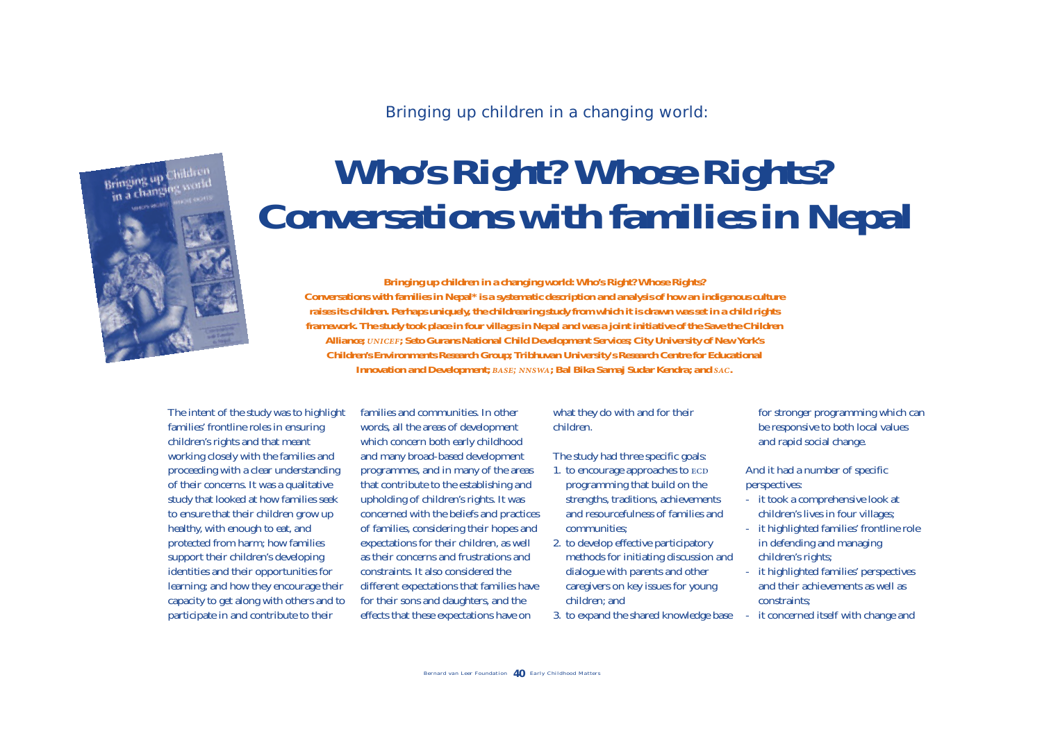Bringing up children in a changing world:



# *Who's Right? Whose Rights? Conversations with families in Nepal*

**Bringing up children in a changing world: Who's Right? Whose Rights? Conversations with families in Nepal\*** *is a systematic description and analysis of how an indigenous culture raises its children. Perhaps uniquely, the childrearing study from which it is drawn was set in a child rights framework. The study took place in four villages in Nepal and was a joint initiative of the Save the Children Alliance; ; Seto Gurans National Child Development Services; City University of New York's Children's Environments Research Group; Tribhuvan University's Research Centre for Educational Innovation and Development; BASE; NNSWA; Bal Bika Samaj Sudar Kendra; and SAC.* 

The intent of the study was to highlight families' frontline roles in ensuring children's rights and that meant working closely with the families and proceeding with a clear understanding of their concerns. It was a qualitative study that looked at how families seek to ensure that their children grow up healthy, with enough to eat, and protected from harm; how families support their children's developing identities and their opportunities for learning; and how they encourage their capacity to get along with others and to participate in and contribute to their

families and communities. In other words, all the areas of development which concern both early childhood and many broad-based development programmes, and in many of the areas that contribute to the establishing and upholding of children's rights. It was concerned with the beliefs and practices of families, considering their hopes and expectations for their children, as well as their concerns and frustrations and constraints. It also considered the different expectations that families have for their sons and daughters, and the effects that these expectations have on

# what they do with and for their children.

The study had three specific goals:

- 1. to encourage approaches to programming that build on the strengths, traditions, achievements and resourcefulness of families and communities;
- 2. to develop effective participatory methods for initiating discussion and dialogue with parents and other caregivers on key issues for young children; and
- 3. to expand the shared knowledge base

for stronger programming which can be responsive to both local values and rapid social change.

And it had a number of specific perspectives:

- it took a comprehensive look at children's lives in four villages;
- it highlighted families' frontline role in defending and managing children's rights;
- it highlighted families' perspectives and their achievements as well as constraints;
- it concerned itself with change and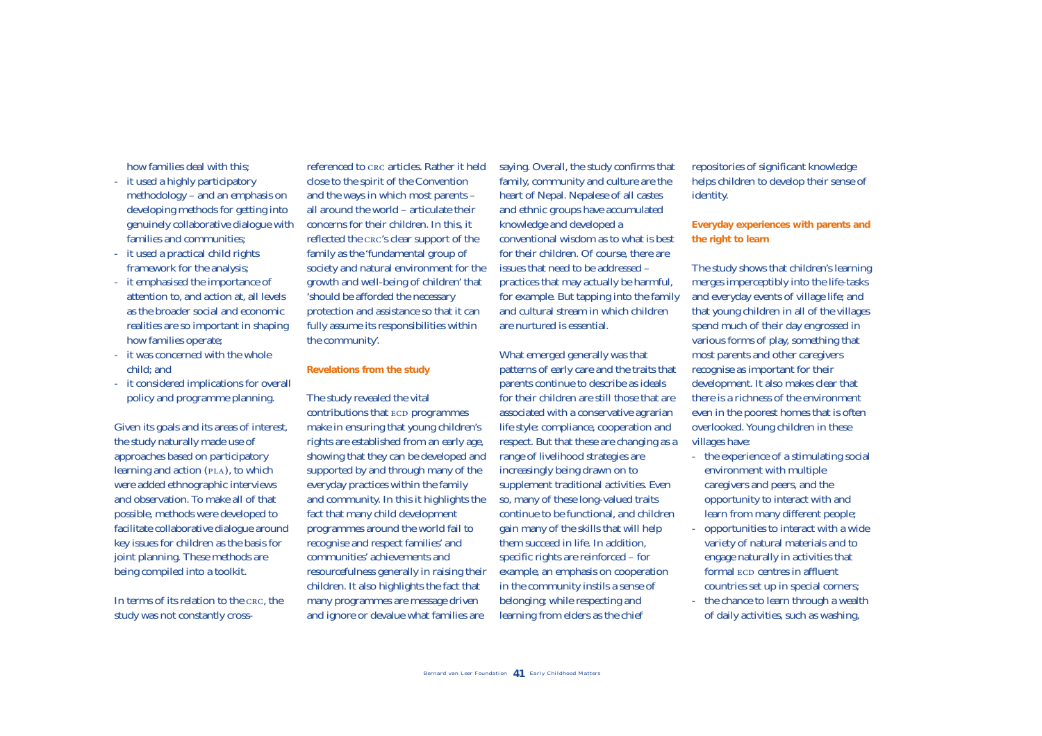how families deal with this;

- it used a highly participatory methodology – and an emphasis on developing methods for getting into genuinely collaborative dialogue with families and communities;
- it used a practical child rights framework for the analysis;
- it emphasised the importance of attention to, and action at, all levels as the broader social and economic realities are so important in shaping how families operate;
- it was concerned with the whole child; and
- it considered implications for overall policy and programme planning.

Given its goals and its areas of interest, the study naturally made use of approaches based on participatory learning and action ( $PLA$ ), to which were added ethnographic interviews and observation. To make all of that possible, methods were developed to facilitate collaborative dialogue around key issues for children as the basis for joint planning. These methods are being compiled into a toolkit.

In terms of its relation to the CRC, the study was not constantly crossreferenced to c<sub>RC</sub> articles. Rather it held close to the spirit of the Convention and the ways in which most parents – all around the world – articulate their concerns for their children. In this, it reflected the CRC's clear support of the family as the 'fundamental group of society and natural environment for the growth and well-being of children' that 'should be afforded the necessary protection and assistance so that it can fully assume its responsibilities within the community'.

#### **Revelations from the study**

The study revealed the vital contributions that ECD programmes make in ensuring that young children's rights are established from an early age, showing that they can be developed and supported by and through many of the everyday practices within the family and community. In this it highlights the fact that many child development programmes around the world fail to recognise and respect families' and communities' achievements and resourcefulness generally in raising their children. It also highlights the fact that many programmes are message driven

referenced to cac articles. Rather it held saying Ocerall, the study comfirms that repositorises of significant handels was in which may in the solution of the Convention family. community and eclustres are the his childre

- 
- 
-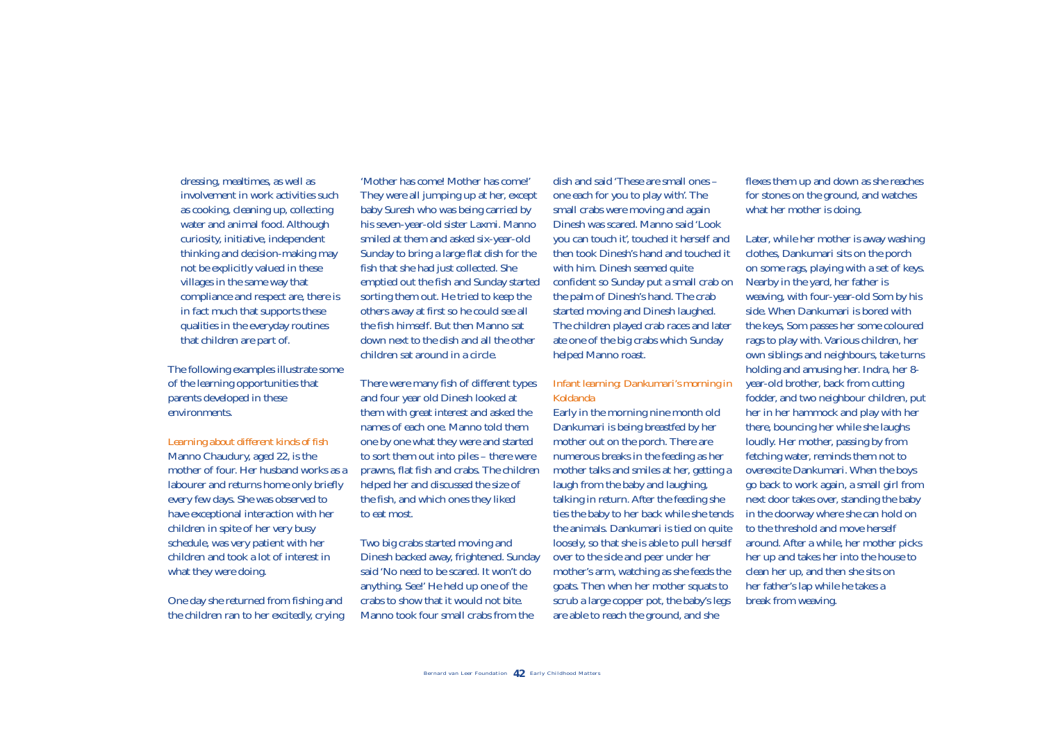dressing, mealtimes, as well as involvement in work activities such as cooking, cleaning up, collecting water and animal food. Although curiosity, initiative, independent thinking and decision-making may not be explicitly valued in these villages in the same way that compliance and respect are, there is in fact much that supports these qualities in the everyday routines that children are part of.

The following examples illustrate some of the learning opportunities that parents developed in these environments.

#### *Learning about different kinds of fish*

Manno Chaudury, aged 22, is the mother of four. Her husband works as a labourer and returns home only briefly every few days. She was observed to have exceptional interaction with her children in spite of her very busy schedule, was very patient with her children and took a lot of interest in what they were doing.

One day she returned from fishing and the children ran to her excitedly, crying

'Mother has come! Mother has come!' They were all jumping up at her, except baby Suresh who was being carried by his seven-year-old sister Laxmi. Manno smiled at them and asked six-year-old Sunday to bring a large flat dish for the fish that she had just collected. She emptied out the fish and Sunday started sorting them out. He tried to keep the others away at first so he could see all the fish himself. But then Manno sat down next to the dish and all the other children sat around in a circle.

There were many fish of different types and four year old Dinesh looked at them with great interest and asked the names of each one. Manno told them one by one what they were and started to sort them out into piles – there were prawns, flat fish and crabs. The children helped her and discussed the size of the fish, and which ones they liked to eat most.

Two big crabs started moving and Dinesh backed away, frightened. Sunday said 'No need to be scared. It won't do anything. See!' He held up one of the crabs to show that it would not bite. Manno took four small crabs from the

dish and said 'These are small ones – one each for you to play with'. The small crabs were moving and again Dinesh was scared. Manno said 'Look you can touch it', touched it herself and then took Dinesh's hand and touched it with him. Dinesh seemed quite confident so Sunday put a small crab on the palm of Dinesh's hand. The crab started moving and Dinesh laughed. The children played crab races and later ate one of the big crabs which Sunday helped Manno roast.

## *Infant learning: Dankumari's morning in Koldanda*

Early in the morning nine month old Dankumari is being breastfed by her mother out on the porch. There are numerous breaks in the feeding as her mother talks and smiles at her, getting a laugh from the baby and laughing, talking in return. After the feeding she ties the baby to her back while she tends the animals. Dankumari is tied on quite loosely, so that she is able to pull herself over to the side and peer under her mother's arm, watching as she feeds the goats. Then when her mother squats to scrub a large copper pot, the baby's legs are able to reach the ground, and she

flexes them up and down as she reaches for stones on the ground, and watches what her mother is doing.

Later, while her mother is away washing clothes, Dankumari sits on the porch on some rags, playing with a set of keys. Nearby in the yard, her father is weaving, with four-year-old Som by his side. When Dankumari is bored with the keys, Som passes her some coloured rags to play with. Various children, her own siblings and neighbours, take turns holding and amusing her. Indra, her 8 year-old brother, back from cutting fodder, and two neighbour children, put her in her hammock and play with her there, bouncing her while she laughs loudly. Her mother, passing by from fetching water, reminds them not to overexcite Dankumari. When the boys go back to work again, a small girl from next door takes over, standing the baby in the doorway where she can hold on to the threshold and move herself around. After a while, her mother picks her up and takes her into the house to clean her up, and then she sits on her father's lap while he takes a break from weaving.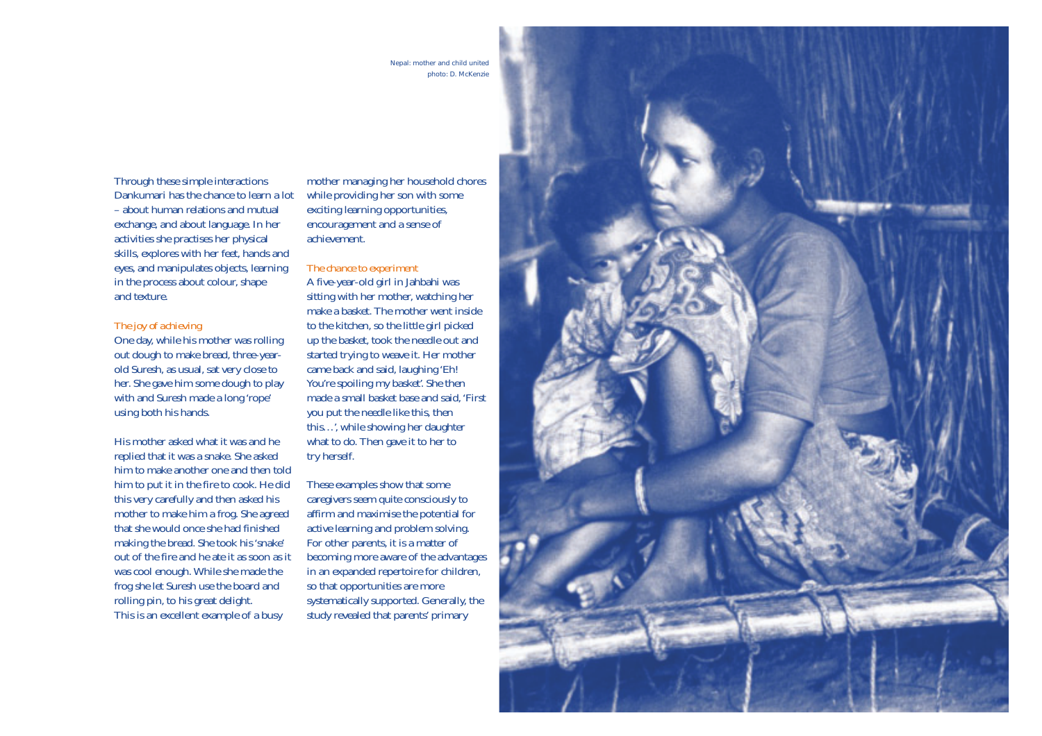Nepal: mother and child united photo: D. McKenzie

Through these simple interactions Dankumari has the chance to learn a lot – about human relations and mutual exchange, and about language. In her activities she practises her physical skills, explores with her feet, hands and eyes, and manipulates objects, learning in the process about colour, shape and texture.

#### *The joy of achieving*

One day, while his mother was rolling out dough to make bread, three-yearold Suresh, as usual, sat very close to her. She gave him some dough to play with and Suresh made a long 'rope' using both his hands.

His mother asked what it was and he replied that it was a snake. She asked him to make another one and then told him to put it in the fire to cook. He did this very carefully and then asked his mother to make him a frog. She agreed that she would once she had finished making the bread. She took his 'snake' out of the fire and he ate it as soon as it was cool enough. While she made the frog she let Suresh use the board and rolling pin, to his great delight. This is an excellent example of a busy

mother managing her household chores while providing her son with some exciting learning opportunities, encouragement and a sense of achievement.

#### *The chance to experiment*

A five-year-old girl in Jahbahi was sitting with her mother, watching her make a basket. The mother went inside to the kitchen, so the little girl picked up the basket, took the needle out and started trying to weave it. Her mother came back and said, laughing 'Eh! You're spoiling my basket'. She then made a small basket base and said, 'First you put the needle like this, then this…', while showing her daughter what to do. Then gave it to her to try herself.

These examples show that some caregivers seem quite consciously to affirm and maximise the potential for active learning and problem solving. For other parents, it is a matter of becoming more aware of the advantages in an expanded repertoire for children, so that opportunities are more systematically supported. Generally, the study revealed that parents' primary